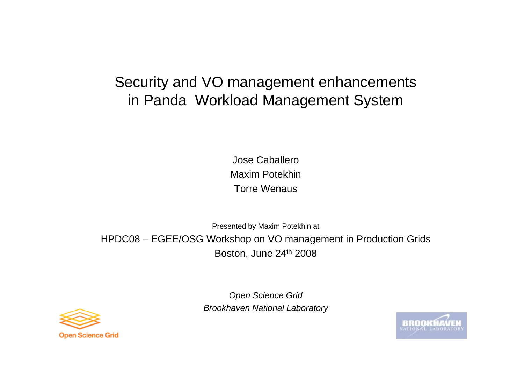# Security and VO management enhancements in Panda Workload Management System

Jose CaballeroMaxim PotekhinTorre Wenaus

Presented by Maxim Potekhin at HPDC08 – EGEE/OSG Workshop on VO management in Production Grids Boston, June 24th 2008



*Open Science Grid Brookhaven National Laboratory*

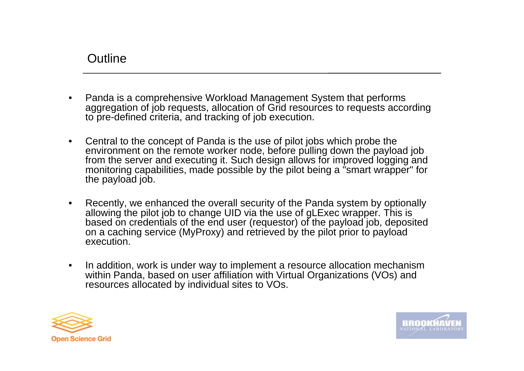### **Outline**

- •Panda is a comprehensive Workload Management System that performs aggregation of job requests, allocation of Grid resources to requests according to pre-defined criteria, and tracking of job execution.
- •Central to the concept of Panda is the use of pilot jobs which probe the environment on the remote worker node, before pulling down the payload job from the server and executing it. Such design allows for improved logging and monitoring capabilities, made possible by the pilot being a "smart wrapper" for the payload job.
- • Recently, we enhanced the overall security of the Panda system by optionally allowing the pilot job to change UID via the use of gLExec wrapper. This is based on credentials of the end user (requestor) of the payload job, deposited on a caching service (MyProxy) and retrieved by the pilot prior to payload execution.
- $\bullet$ In addition, work is under way to implement a resource allocation mechanism within Panda, based on user affiliation with Virtual Organizations (VOs) and resources allocated by individual sites to VOs.



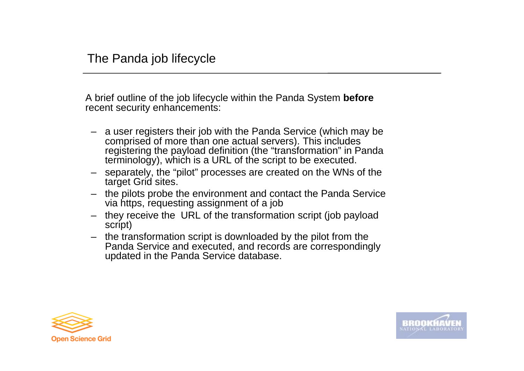A brief outline of the job lifecycle within the Panda System **before** recent security enhancements:

- a user registers their job with the Panda Service (which may be comprised of more than one actual servers). This includes registering the payload definition (the "transformation" in Panda terminology), which is a URL of the script to be executed.
- separately, the "pilot" processes are created on the WNs of the target Grid sites.
- the pilots probe the environment and contact the Panda Service via https, requesting assignment of a job
- they receive the URL of the transformation script (job payload script)
- the transformation script is downloaded by the pilot from the Panda Service and executed, and records are correspondingly updated in the Panda Service database.



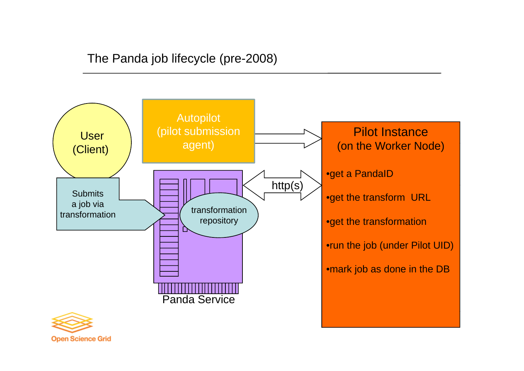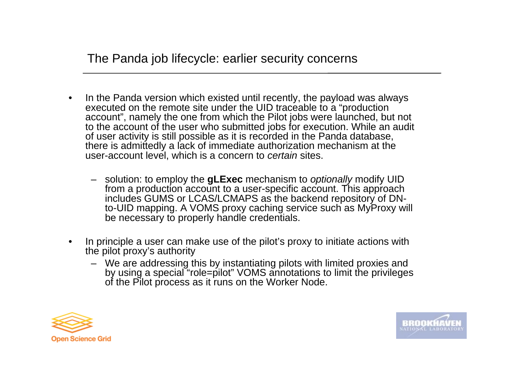The Panda job lifecycle: earlier security concerns

- $\bullet$  In the Panda version which existed until recently, the payload was always executed on the remote site under the UID traceable to a "production account", namely the one from which the Pilot jobs were launched, but not to the account of the user who submitted jobs for execution. While an audit of user activity is still possible as it is recorded in the Panda database, there is admittedly a lack of immediate authorization mechanism at the user-account level, which is a concern to *certain* sites.
	- solution: to employ the **gLExec** mechanism to *optionally* modify UID from a production account to a user-specific account. This approach includes GUMS or LCAS/LCMAPS as the backend repository of DNto-UID mapping. A VOMS proxy caching service such as MyProxy will be necessary to properly handle credentials.
- • In principle a user can make use of the pilot's proxy to initiate actions with the pilot proxy's authority
	- We are addressing this by instantiating pilots with limited proxies and by using a special "role=pilot" VOMS annotations to limit the privileges of the Pilot process as it runs on the Worker Node.



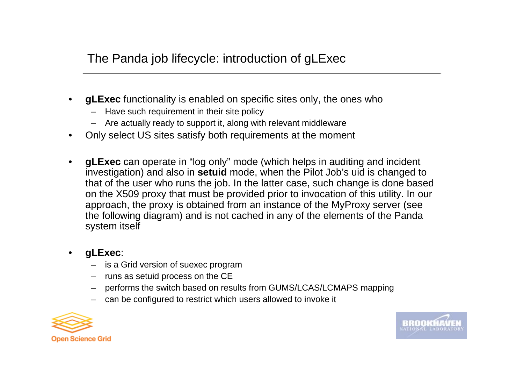- •**gLExec** functionality is enabled on specific sites only, the ones who
	- Have such requirement in their site policy
	- Are actually ready to support it, along with relevant middleware
- •Only select US sites satisfy both requirements at the moment
- • **gLExec** can operate in "log only" mode (which helps in auditing and incident investigation) and also in **setuid** mode, when the Pilot Job's uid is changed to that of the user who runs the job. In the latter case, such change is done based on the X509 proxy that must be provided prior to invocation of this utility. In our approach, the proxy is obtained from an instance of the MyProxy server (see the following diagram) and is not cached in any of the elements of the Panda system itself

#### •**gLExec**:

- is a Grid version of suexec program
- runs as setuid process on the CE
- performs the switch based on results from GUMS/LCAS/LCMAPS mapping
- can be configured to restrict which users allowed to invoke it



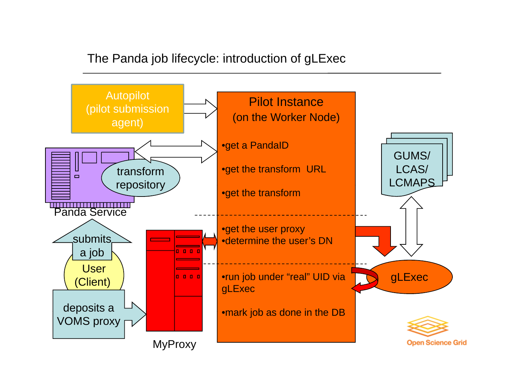### The Panda job lifecycle: introduction of gLExec

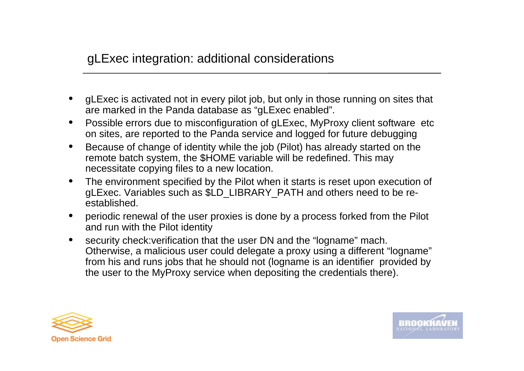# gLExec integration: additional considerations

- •gLExec is activated not in every pilot job, but only in those running on sites that are marked in the Panda database as "gLExec enabled".
- $\bullet$  Possible errors due to misconfiguration of gLExec, MyProxy client software etc on sites, are reported to the Panda service and logged for future debugging
- •Because of change of identity while the job (Pilot) has already started on the remote batch system, the \$HOME variable will be redefined. This may necessitate copying files to a new location.
- $\bullet$ • The environment specified by the Pilot when it starts is reset upon execution of gLExec. Variables such as \$LD\_LIBRARY\_PATH and others need to be reestablished.
- • periodic renewal of the user proxies is done by a process forked from the Pilot and run with the Pilot identity
- • security check:verification that the user DN and the "logname" mach. Otherwise, a malicious user could delegate a proxy using a different "logname" from his and runs jobs that he should not (logname is an identifier provided by the user to the MyProxy service when depositing the credentials there).



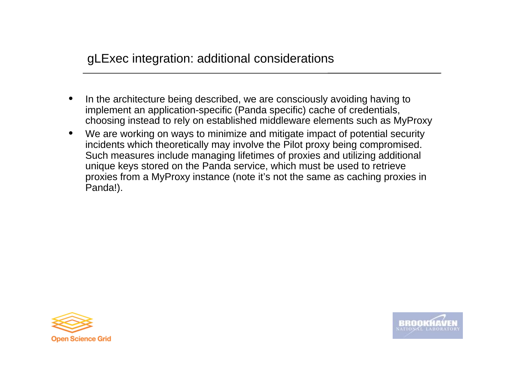- •In the architecture being described, we are consciously avoiding having to implement an application-specific (Panda specific) cache of credentials, choosing instead to rely on established middleware elements such as MyProxy
- $\bullet$  We are working on ways to minimize and mitigate impact of potential security incidents which theoretically may involve the Pilot proxy being compromised. Such measures include managing lifetimes of proxies and utilizing additional unique keys stored on the Panda service, which must be used to retrieve proxies from a MyProxy instance (note it's not the same as caching proxies in Panda!).



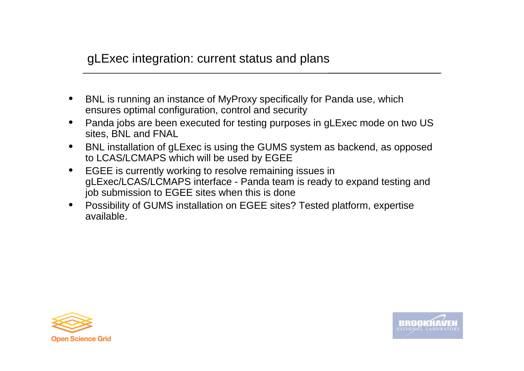### gLExec integration: current status and plans

- •BNL is running an instance of MyProxy specifically for Panda use, which ensures optimal configuration, control and security
- • Panda jobs are been executed for testing purposes in gLExec mode on two US sites, BNL and FNAL
- •• BNL installation of gLExec is using the GUMS system as backend, as opposed to LCAS/LCMAPS which will be used by EGEE
- $\bullet$  EGEE is currently working to resolve remaining issues in gLExec/LCAS/LCMAPS interface - Panda team is ready to expand testing and job submission to EGEE sites when this is done
- • Possibility of GUMS installation on EGEE sites? Tested platform, expertise available.



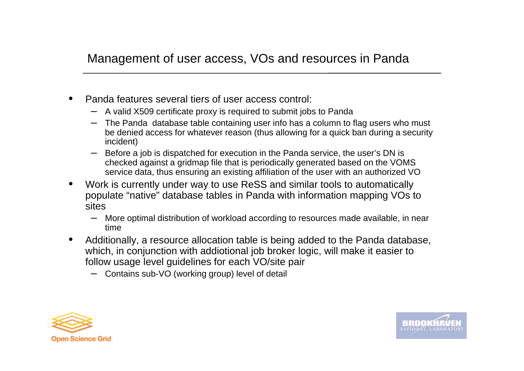# Management of user access, VOs and resources in Panda

- •Panda features several tiers of user access control:
	- A valid X509 certificate proxy is required to submit jobs to Panda
	- The Panda database table containing user info has a column to flag users who must be denied access for whatever reason (thus allowing for a quick ban during a security incident)
	- Before a job is dispatched for execution in the Panda service, the user's DN is checked against a gridmap file that is periodically generated based on the VOMS service data, thus ensuring an existing affiliation of the user with an authorized VO
- • Work is currently under way to use ReSS and similar tools to automatically populate "native" database tables in Panda with information mapping VOs to sites
	- More optimal distribution of workload according to resources made available, in near time
- • Additionally, a resource allocation table is being added to the Panda database, which, in conjunction with addiotional job broker logic, will make it easier to follow usage level guidelines for each VO/site pair
	- Contains sub-VO (working group) level of detail